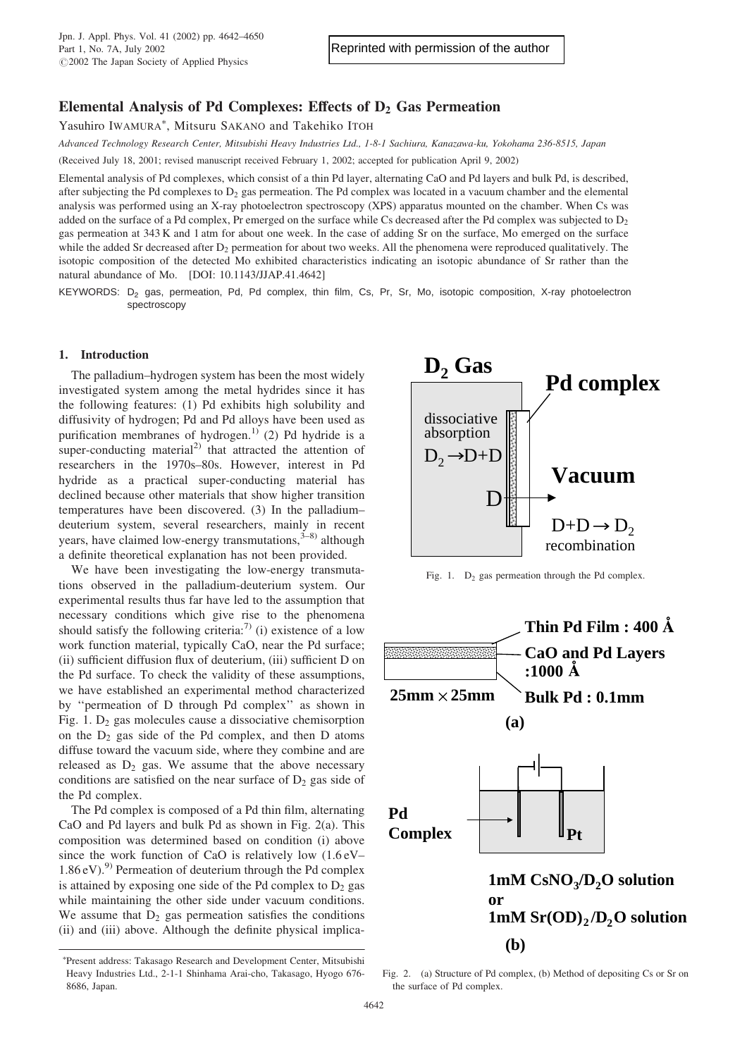# Elemental Analysis of Pd Complexes: Effects of  $D_2$  Gas Permeation

Yasuhiro IWAMURA\*, Mitsuru SAKANO and Takehiko ITOH

Advanced Technology Research Center, Mitsubishi Heavy Industries Ltd., 1-8-1 Sachiura, Kanazawa-ku, Yokohama 236-8515, Japan

(Received July 18, 2001; revised manuscript received February 1, 2002; accepted for publication April 9, 2002)

Elemental analysis of Pd complexes, which consist of a thin Pd layer, alternating CaO and Pd layers and bulk Pd, is described, after subjecting the Pd complexes to  $D_2$  gas permeation. The Pd complex was located in a vacuum chamber and the elemental analysis was performed using an X-ray photoelectron spectroscopy (XPS) apparatus mounted on the chamber. When Cs was added on the surface of a Pd complex, Pr emerged on the surface while Cs decreased after the Pd complex was subjected to  $D_2$ gas permeation at 343 K and 1 atm for about one week. In the case of adding Sr on the surface, Mo emerged on the surface while the added Sr decreased after  $D_2$  permeation for about two weeks. All the phenomena were reproduced qualitatively. The isotopic composition of the detected Mo exhibited characteristics indicating an isotopic abundance of Sr rather than the natural abundance of Mo. [DOI: 10.1143/JJAP.41.4642]

KEYWORDS: D<sub>2</sub> gas, permeation, Pd, Pd complex, thin film, Cs, Pr, Sr, Mo, isotopic composition, X-ray photoelectron spectroscopy

### 1. Introduction

The palladium–hydrogen system has been the most widely investigated system among the metal hydrides since it has the following features: (1) Pd exhibits high solubility and diffusivity of hydrogen; Pd and Pd alloys have been used as purification membranes of hydrogen.<sup>1)</sup> (2) Pd hydride is a super-conducting material<sup>2)</sup> that attracted the attention of researchers in the 1970s–80s. However, interest in Pd hydride as a practical super-conducting material has declined because other materials that show higher transition temperatures have been discovered. (3) In the palladium– deuterium system, several researchers, mainly in recent years, have claimed low-energy transmutations,<sup>3–8)</sup> although a definite theoretical explanation has not been provided.

We have been investigating the low-energy transmutations observed in the palladium-deuterium system. Our experimental results thus far have led to the assumption that necessary conditions which give rise to the phenomena should satisfy the following criteria:<sup>7)</sup> (i) existence of a low work function material, typically CaO, near the Pd surface; (ii) sufficient diffusion flux of deuterium, (iii) sufficient D on the Pd surface. To check the validity of these assumptions, we have established an experimental method characterized by''permeation of D through Pd complex'' as shown in Fig.  $1. D_2$  gas molecules cause a dissociative chemisorption on the  $D_2$  gas side of the Pd complex, and then D atoms diffuse toward the vacuum side, where they combine and are released as  $D_2$  gas. We assume that the above necessary conditions are satisfied on the near surface of  $D<sub>2</sub>$  gas side of the Pd complex.

The Pd complex is composed of a Pd thin film, alternating CaO and Pd layers and bulk Pd as shown in Fig. 2(a). This composition was determined based on condition (i) above since the work function of CaO is relatively low  $(1.6 \text{ eV} 1.86 \text{ eV}$ .<sup>9)</sup> Permeation of deuterium through the Pd complex is attained by exposing one side of the Pd complex to  $D_2$  gas while maintaining the other side under vacuum conditions. We assume that  $D_2$  gas permeation satisfies the conditions (ii) and (iii) above. Although the definite physical implica-



Fig. 1.  $D_2$  gas permeation through the Pd complex.



Present address: Takasago Research and Development Center, Mitsubishi Heavy Industries Ltd., 2-1-1 Shinhama Arai-cho, Takasago, Hyogo 676-8686, Japan.

Fig. 2. (a) Structure of Pd complex, (b) Method of depositing Cs or Sr on the surface of Pd complex.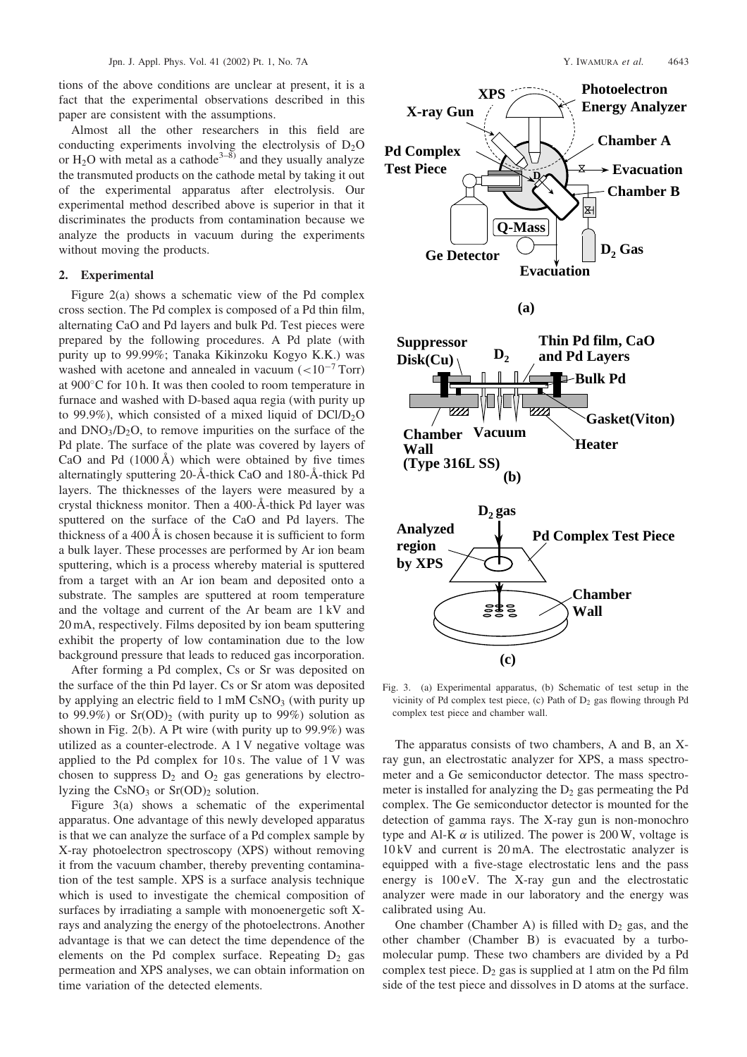tions of the above conditions are unclear at present, it is a fact that the experimental observations described in this paper are consistent with the assumptions.

Almost all the other researchers in this field are conducting experiments involving the electrolysis of  $D_2O$ or  $H_2O$  with metal as a cathode<sup>3–8)</sup> and they usually analyze the transmuted products on the cathode metal by taking it out of the experimental apparatus after electrolysis. Our experimental method described above is superior in that it discriminates the products from contamination because we analyze the products in vacuum during the experiments without moving the products.

## 2. Experimental

Figure 2(a) shows a schematic view of the Pd complex cross section. The Pd complex is composed of a Pd thin film, alternating CaO and Pd layers and bulk Pd. Test pieces were prepared by the following procedures. A Pd plate (with purity up to 99.99%; Tanaka Kikinzoku Kogyo K.K.) was washed with acetone and annealed in vacuum  $\left( < 10^{-7}$  Torr) at  $900^{\circ}$ C for 10 h. It was then cooled to room temperature in furnace and washed with D-based aqua regia (with purityup to 99.9%), which consisted of a mixed liquid of  $DCI/D<sub>2</sub>O$ and  $DNO<sub>3</sub>/D<sub>2</sub>O$ , to remove impurities on the surface of the Pd plate. The surface of the plate was covered by layers of CaO and Pd  $(1000 \text{ Å})$  which were obtained by five times alternatinglysputtering 20-A -thick CaO and 180-A -thick Pd layers. The thicknesses of the layers were measured by a crystal thickness monitor. Then a 400-A -thick Pd layer was sputtered on the surface of the CaO and Pd layers. The thickness of a 400  $\AA$  is chosen because it is sufficient to form a bulk layer. These processes are performed by Ar ion beam sputtering, which is a process whereby material is sputtered from a target with an Ar ion beam and deposited onto a substrate. The samples are sputtered at room temperature and the voltage and current of the Ar beam are 1 kV and 20 mA, respectively. Films deposited by ion beam sputtering exhibit the property of low contamination due to the low background pressure that leads to reduced gas incorporation.

After forming a Pd complex, Cs or Sr was deposited on the surface of the thin Pd layer. Cs or Sr atom was deposited by applying an electric field to  $1 \text{ mM } \text{CsNO}_3$  (with purity up to 99.9%) or  $Sr(OD)_2$  (with purity up to 99%) solution as shown in Fig. 2(b). A Pt wire (with purity up to  $99.9\%$ ) was utilized as a counter-electrode. A 1 V negative voltage was applied to the Pd complex for  $10 s$ . The value of  $1 V$  was chosen to suppress  $D_2$  and  $O_2$  gas generations by electrolyzing the  $CsNO<sub>3</sub>$  or  $Sr(OD)<sub>2</sub>$  solution.

Figure 3(a) shows a schematic of the experimental apparatus. One advantage of this newlydeveloped apparatus is that we can analyze the surface of a Pd complex sample by X-ray photoelectron spectroscopy (XPS) without removing it from the vacuum chamber, thereby preventing contamination of the test sample. XPS is a surface analysis technique which is used to investigate the chemical composition of surfaces by irradiating a sample with monoenergetic soft Xrays and analyzing the energy of the photoelectrons. Another advantage is that we can detect the time dependence of the elements on the Pd complex surface. Repeating  $D_2$  gas permeation and XPS analyses, we can obtain information on time variation of the detected elements.



Fig. 3. (a) Experimental apparatus, (b) Schematic of test setup in the vicinity of Pd complex test piece, (c) Path of  $D_2$  gas flowing through Pd complex test piece and chamber wall.

The apparatus consists of two chambers, A and B, an Xray gun, an electrostatic analyzer for XPS, a mass spectrometer and a Ge semiconductor detector. The mass spectrometer is installed for analyzing the  $D<sub>2</sub>$  gas permeating the Pd complex. The Ge semiconductor detector is mounted for the detection of gamma rays. The X-ray gun is non-monochro type and Al-K  $\alpha$  is utilized. The power is 200 W, voltage is 10 kV and current is 20 mA. The electrostatic analyzer is equipped with a five-stage electrostatic lens and the pass energy is  $100 \text{ eV}$ . The X-ray gun and the electrostatic analyzer were made in our laboratory and the energy was calibrated using Au.

One chamber (Chamber A) is filled with  $D_2$  gas, and the other chamber (Chamber B) is evacuated by a turbomolecular pump. These two chambers are divided bya Pd complex test piece.  $D_2$  gas is supplied at 1 atm on the Pd film side of the test piece and dissolves in D atoms at the surface.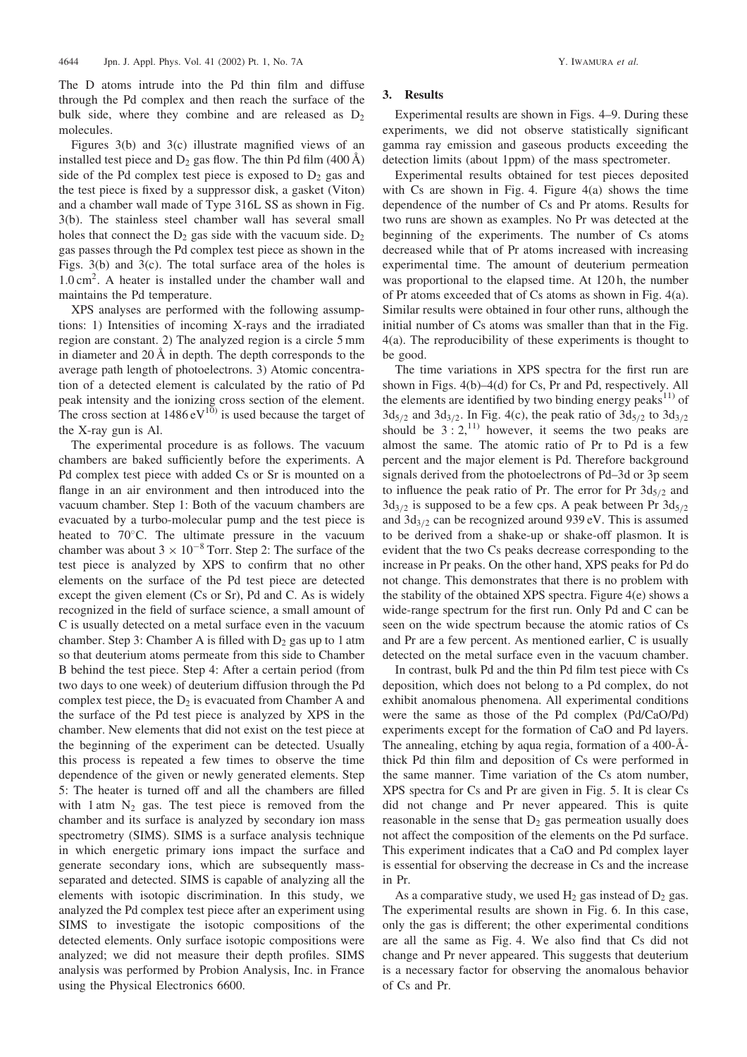The D atoms intrude into the Pd thin film and diffuse through the Pd complex and then reach the surface of the bulk side, where they combine and are released as  $D_2$ molecules.

Figures 3(b) and 3(c) illustrate magnified views of an installed test piece and  $D_2$  gas flow. The thin Pd film (400 Å) side of the Pd complex test piece is exposed to  $D_2$  gas and the test piece is fixed by a suppressor disk, a gasket (Viton) and a chamber wall made of Type 316L SS as shown in Fig. 3(b). The stainless steel chamber wall has several small holes that connect the  $D_2$  gas side with the vacuum side.  $D_2$ gas passes through the Pd complex test piece as shown in the Figs. 3(b) and 3(c). The total surface area of the holes is  $1.0 \text{ cm}^2$ . A heater is installed under the chamber wall and maintains the Pd temperature.

XPS analyses are performed with the following assumptions: 1) Intensities of incoming X-rays and the irradiated region are constant. 2) The analyzed region is a circle 5 mm in diameter and 20 A in depth. The depth corresponds to the average path length of photoelectrons. 3) Atomic concentration of a detected element is calculated by the ratio of Pd peak intensity and the ionizing cross section of the element. The cross section at  $1486 \text{ eV}^{10}$  is used because the target of the X-ray gun is Al.

The experimental procedure is as follows. The vacuum chambers are baked sufficiently before the experiments. A Pd complex test piece with added Cs or Sr is mounted on a flange in an air environment and then introduced into the vacuum chamber. Step 1: Both of the vacuum chambers are evacuated bya turbo-molecular pump and the test piece is heated to  $70^{\circ}$ C. The ultimate pressure in the vacuum chamber was about  $3 \times 10^{-8}$  Torr. Step 2: The surface of the test piece is analyzed by XPS to confirm that no other elements on the surface of the Pd test piece are detected except the given element (Cs or Sr), Pd and C. As is widely recognized in the field of surface science, a small amount of C is usually detected on a metal surface even in the vacuum chamber. Step 3: Chamber A is filled with  $D_2$  gas up to 1 atm so that deuterium atoms permeate from this side to Chamber B behind the test piece. Step 4: After a certain period (from two days to one week) of deuterium diffusion through the Pd complex test piece, the  $D_2$  is evacuated from Chamber A and the surface of the Pd test piece is analyzed by XPS in the chamber. New elements that did not exist on the test piece at the beginning of the experiment can be detected. Usually this process is repeated a few times to observe the time dependence of the given or newly generated elements. Step 5: The heater is turned off and all the chambers are filled with 1 atm  $N_2$  gas. The test piece is removed from the chamber and its surface is analyzed by secondary ion mass spectrometry(SIMS). SIMS is a surface analysis technique in which energetic primary ions impact the surface and generate secondary ions, which are subsequently massseparated and detected. SIMS is capable of analyzing all the elements with isotopic discrimination. In this study, we analyzed the Pd complex test piece after an experiment using SIMS to investigate the isotopic compositions of the detected elements. Only surface isotopic compositions were analyzed; we did not measure their depth profiles. SIMS analysis was performed by Probion Analysis, Inc. in France using the Physical Electronics 6600.

Experimental results are shown in Figs. 4–9. During these experiments, we did not observe statistically significant gamma rayemission and gaseous products exceeding the detection limits (about 1ppm) of the mass spectrometer.

Experimental results obtained for test pieces deposited with Cs are shown in Fig. 4. Figure  $4(a)$  shows the time dependence of the number of Cs and Pr atoms. Results for two runs are shown as examples. No Pr was detected at the beginning of the experiments. The number of Cs atoms decreased while that of Pr atoms increased with increasing experimental time. The amount of deuterium permeation was proportional to the elapsed time. At 120 h, the number of Pr atoms exceeded that of Cs atoms as shown in Fig. 4(a). Similar results were obtained in four other runs, although the initial number of Cs atoms was smaller than that in the Fig.  $4(a)$ . The reproducibility of these experiments is thought to be good.

The time variations in XPS spectra for the first run are shown in Figs. 4(b)–4(d) for Cs, Pr and Pd, respectively. All the elements are identified by two binding energy peaks<sup>11)</sup> of  $3d_{5/2}$  and  $3d_{3/2}$ . In Fig. 4(c), the peak ratio of  $3d_{5/2}$  to  $3d_{3/2}$ should be  $3:2<sup>11</sup>$  however, it seems the two peaks are almost the same. The atomic ratio of Pr to Pd is a few percent and the major element is Pd. Therefore background signals derived from the photoelectrons of Pd–3d or 3p seem to influence the peak ratio of Pr. The error for Pr  $3d_{5/2}$  and  $3d_{3/2}$  is supposed to be a few cps. A peak between Pr  $3d_{5/2}$ and  $3d_{3/2}$  can be recognized around 939 eV. This is assumed to be derived from a shake-up or shake-off plasmon. It is evident that the two Cs peaks decrease corresponding to the increase in Pr peaks. On the other hand, XPS peaks for Pd do not change. This demonstrates that there is no problem with the stability of the obtained XPS spectra. Figure  $4(e)$  shows a wide-range spectrum for the first run. Only Pd and C can be seen on the wide spectrum because the atomic ratios of Cs and Pr are a few percent. As mentioned earlier, C is usually detected on the metal surface even in the vacuum chamber.

In contrast, bulk Pd and the thin Pd film test piece with Cs deposition, which does not belong to a Pd complex, do not exhibit anomalous phenomena. All experimental conditions were the same as those of the Pd complex (Pd/CaO/Pd) experiments except for the formation of CaO and Pd layers. The annealing, etching by aqua regia, formation of a 400- $\AA$ thick Pd thin film and deposition of Cs were performed in the same manner. Time variation of the Cs atom number, XPS spectra for Cs and Pr are given in Fig. 5. It is clear Cs did not change and Pr never appeared. This is quite reasonable in the sense that  $D<sub>2</sub>$  gas permeation usually does not affect the composition of the elements on the Pd surface. This experiment indicates that a CaO and Pd complex layer is essential for observing the decrease in Cs and the increase in Pr.

As a comparative study, we used  $H_2$  gas instead of  $D_2$  gas. The experimental results are shown in Fig. 6. In this case, onlythe gas is different; the other experimental conditions are all the same as Fig. 4. We also find that Cs did not change and Pr never appeared. This suggests that deuterium is a necessary factor for observing the anomalous behavior of Cs and Pr.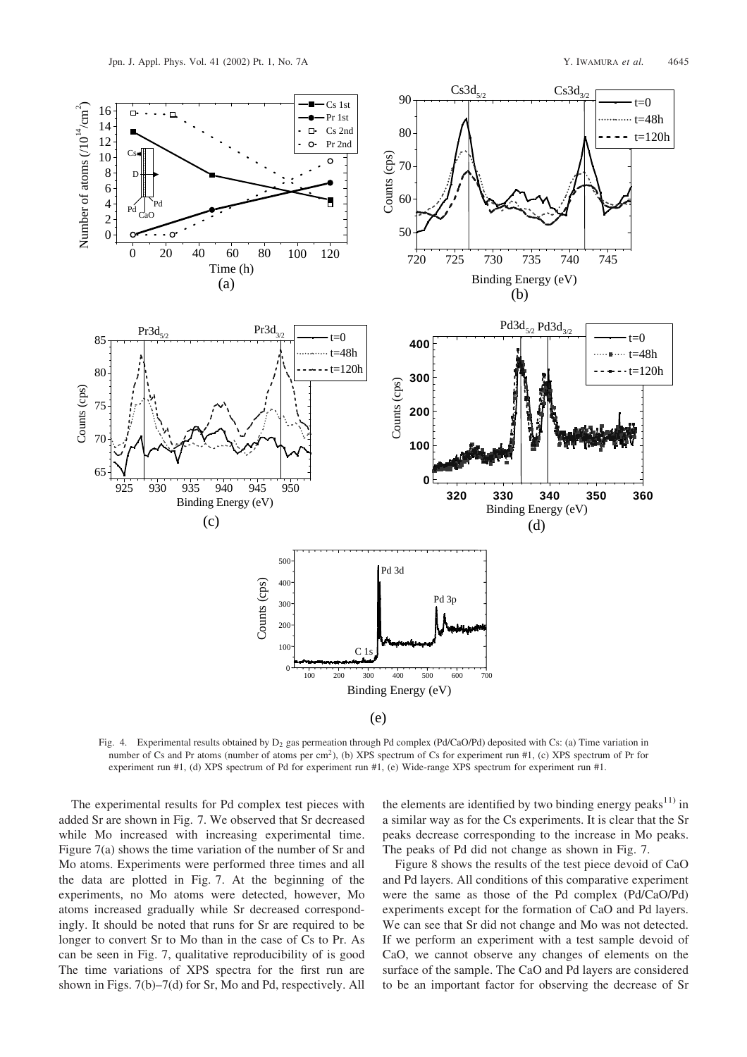

Fig. 4. Experimental results obtained by  $D_2$  gas permeation through Pd complex (Pd/CaO/Pd) deposited with Cs: (a) Time variation in number of Cs and Pr atoms (number of atoms per cm<sup>2</sup>), (b) XPS spectrum of Cs for experiment run #1, (c) XPS spectrum of Pr for experiment run #1, (d) XPS spectrum of Pd for experiment run #1, (e) Wide-range XPS spectrum for experiment run #1.

The experimental results for Pd complex test pieces with added Sr are shown in Fig. 7. We observed that Sr decreased while Mo increased with increasing experimental time. Figure 7(a) shows the time variation of the number of Sr and Mo atoms. Experiments were performed three times and all the data are plotted in Fig. 7. At the beginning of the experiments, no Mo atoms were detected, however, Mo atoms increased gradually while Sr decreased correspondingly. It should be noted that runs for Sr are required to be longer to convert Sr to Mo than in the case of Cs to Pr. As can be seen in Fig. 7, qualitative reproducibilityof is good The time variations of XPS spectra for the first run are shown in Figs. 7(b)–7(d) for Sr, Mo and Pd, respectively. All

the elements are identified by two binding energy peaks<sup>11)</sup> in a similar wayas for the Cs experiments. It is clear that the Sr peaks decrease corresponding to the increase in Mo peaks. The peaks of Pd did not change as shown in Fig. 7.

Figure 8 shows the results of the test piece devoid of CaO and Pd layers. All conditions of this comparative experiment were the same as those of the Pd complex (Pd/CaO/Pd) experiments except for the formation of CaO and Pd layers. We can see that Sr did not change and Mo was not detected. If we perform an experiment with a test sample devoid of CaO, we cannot observe anychanges of elements on the surface of the sample. The CaO and Pd layers are considered to be an important factor for observing the decrease of Sr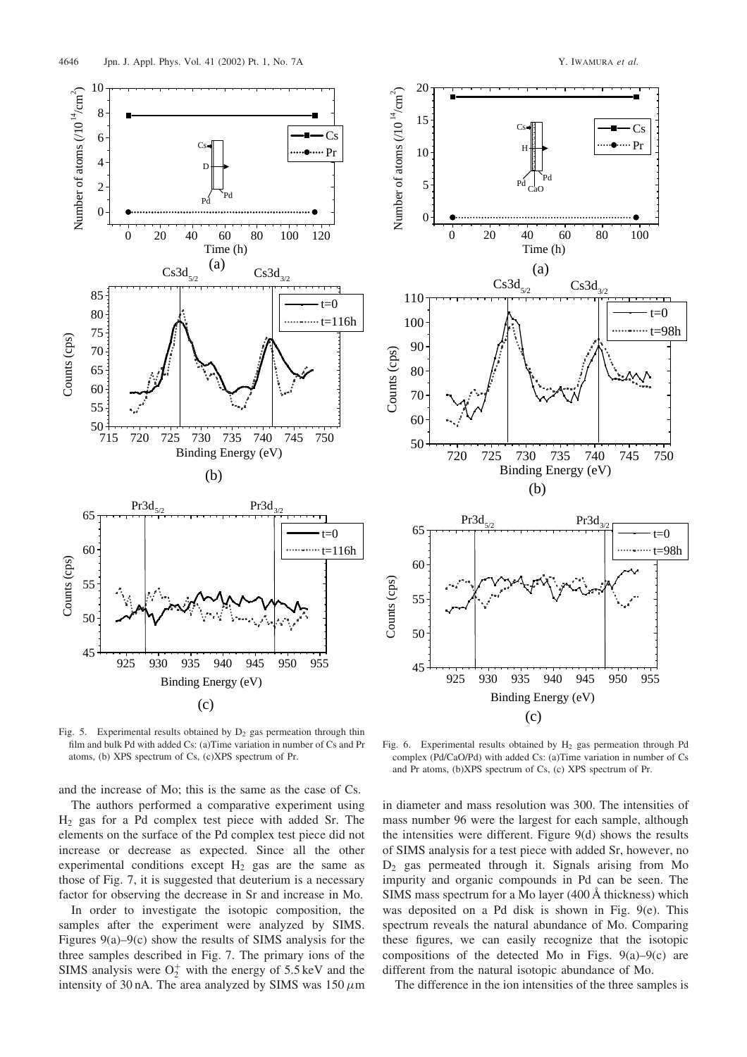

Fig. 5. Experimental results obtained by  $D_2$  gas permeation through thin film and bulk Pd with added Cs: (a)Time variation in number of Cs and Pr atoms, (b) XPS spectrum of Cs, (c)XPS spectrum of Pr.

and the increase of Mo; this is the same as the case of Cs.

The authors performed a comparative experiment using  $H<sub>2</sub>$  gas for a Pd complex test piece with added Sr. The elements on the surface of the Pd complex test piece did not increase or decrease as expected. Since all the other experimental conditions except  $H_2$  gas are the same as those of Fig. 7, it is suggested that deuterium is a necessary factor for observing the decrease in Sr and increase in Mo.

In order to investigate the isotopic composition, the samples after the experiment were analyzed by SIMS. Figures  $9(a)$ – $9(c)$  show the results of SIMS analysis for the three samples described in Fig. 7. The primary ions of the SIMS analysis were  $O_2^+$  with the energy of 5.5 keV and the intensity of 30 nA. The area analyzed by SIMS was  $150 \,\mu m$ 



Fig. 6. Experimental results obtained by H<sub>2</sub> gas permeation through Pd complex (Pd/CaO/Pd) with added Cs: (a)Time variation in number of Cs and Pr atoms, (b)XPS spectrum of Cs, (c) XPS spectrum of Pr.

in diameter and mass resolution was 300. The intensities of mass number 96 were the largest for each sample, although the intensities were different. Figure 9(d) shows the results of SIMS analysis for a test piece with added Sr, however, no D<sup>2</sup> gas permeated through it. Signals arising from Mo impurity and organic compounds in Pd can be seen. The SIMS mass spectrum for a Mo layer (400 A thickness) which was deposited on a Pd disk is shown in Fig. 9(e). This spectrum reveals the natural abundance of Mo. Comparing these figures, we can easily recognize that the isotopic compositions of the detected Mo in Figs.  $9(a)-9(c)$  are different from the natural isotopic abundance of Mo.

The difference in the ion intensities of the three samples is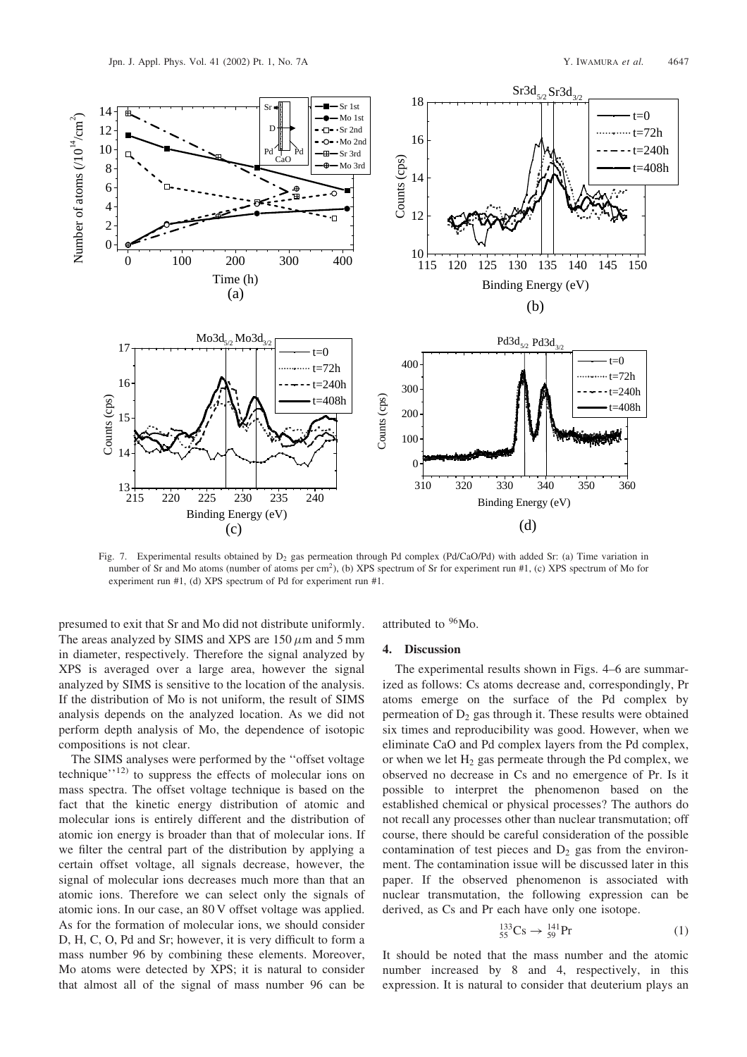

Fig. 7. Experimental results obtained by  $D_2$  gas permeation through Pd complex (Pd/CaO/Pd) with added Sr: (a) Time variation in number of Sr and Mo atoms (number of atoms per cm<sup>2</sup>), (b) XPS spectrum of Sr for experiment run #1, (c) XPS spectrum of Mo for experiment run #1, (d) XPS spectrum of Pd for experiment run #1.

presumed to exit that Sr and Mo did not distribute uniformly. The areas analyzed by SIMS and XPS are  $150 \mu m$  and  $5 \text{ mm}$ in diameter, respectively. Therefore the signal analyzed by XPS is averaged over a large area, however the signal analyzed by SIMS is sensitive to the location of the analysis. If the distribution of Mo is not uniform, the result of SIMS analysis depends on the analyzed location. As we did not perform depth analysis of Mo, the dependence of isotopic compositions is not clear.

The SIMS analyses were performed by the ''offset voltage technique $\cdot$ <sup>12)</sup> to suppress the effects of molecular ions on mass spectra. The offset voltage technique is based on the fact that the kinetic energy distribution of atomic and molecular ions is entirely different and the distribution of atomic ion energy is broader than that of molecular ions. If we filter the central part of the distribution by applying a certain offset voltage, all signals decrease, however, the signal of molecular ions decreases much more than that an atomic ions. Therefore we can select only the signals of atomic ions. In our case, an 80 V offset voltage was applied. As for the formation of molecular ions, we should consider D, H, C, O, Pd and Sr; however, it is very difficult to form a mass number 96 by combining these elements. Moreover, Mo atoms were detected byXPS; it is natural to consider that almost all of the signal of mass number 96 can be

# attributed to <sup>96</sup>Mo.

#### 4. Discussion

The experimental results shown in Figs. 4–6 are summarized as follows: Cs atoms decrease and, correspondingly, Pr atoms emerge on the surface of the Pd complex by permeation of  $D_2$  gas through it. These results were obtained six times and reproducibility was good. However, when we eliminate CaO and Pd complex layers from the Pd complex, or when we let  $H_2$  gas permeate through the Pd complex, we observed no decrease in Cs and no emergence of Pr. Is it possible to interpret the phenomenon based on the established chemical or physical processes? The authors do not recall anyprocesses other than nuclear transmutation; off course, there should be careful consideration of the possible contamination of test pieces and  $D_2$  gas from the environment. The contamination issue will be discussed later in this paper. If the observed phenomenon is associated with nuclear transmutation, the following expression can be derived, as Cs and Pr each have only one isotope.

$$
^{133}_{55}Cs \to {}^{141}_{59}Pr
$$
 (1)

It should be noted that the mass number and the atomic number increased by 8 and 4, respectively, in this expression. It is natural to consider that deuterium plays an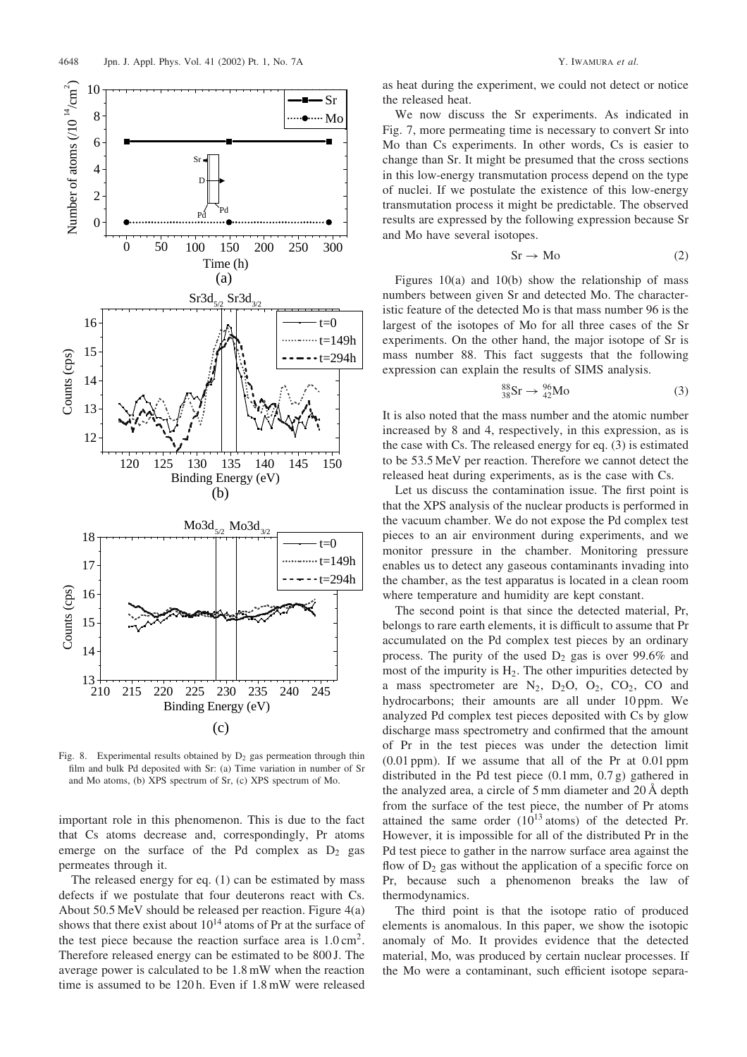

Fig. 8. Experimental results obtained by  $D_2$  gas permeation through thin film and bulk Pd deposited with Sr: (a) Time variation in number of Sr and Mo atoms, (b) XPS spectrum of Sr, (c) XPS spectrum of Mo.

important role in this phenomenon. This is due to the fact that Cs atoms decrease and, correspondingly, Pr atoms emerge on the surface of the Pd complex as  $D_2$  gas permeates through it.

The released energy for eq.  $(1)$  can be estimated by mass defects if we postulate that four deuterons react with Cs. About 50.5 MeV should be released per reaction. Figure 4(a) shows that there exist about  $10^{14}$  atoms of Pr at the surface of the test piece because the reaction surface area is  $1.0 \text{ cm}^2$ . Therefore released energy can be estimated to be 800 J. The average power is calculated to be 1.8 mW when the reaction time is assumed to be 120 h. Even if 1.8 mW were released

as heat during the experiment, we could not detect or notice the released heat.

We now discuss the Sr experiments. As indicated in Fig. 7, more permeating time is necessary to convert Sr into Mo than Cs experiments. In other words, Cs is easier to change than Sr. It might be presumed that the cross sections in this low-energy transmutation process depend on the type of nuclei. If we postulate the existence of this low-energy transmutation process it might be predictable. The observed results are expressed by the following expression because Sr and Mo have several isotopes.

$$
Sr \to Mo \tag{2}
$$

Figures  $10(a)$  and  $10(b)$  show the relationship of mass numbers between given Sr and detected Mo. The characteristic feature of the detected Mo is that mass number 96 is the largest of the isotopes of Mo for all three cases of the Sr experiments. On the other hand, the major isotope of Sr is mass number 88. This fact suggests that the following expression can explain the results of SIMS analysis.

$$
{}^{88}_{38}\text{Sr} \to {}^{96}_{42}\text{Mo} \tag{3}
$$

It is also noted that the mass number and the atomic number increased by8 and 4, respectively, in this expression, as is the case with Cs. The released energy for eq.  $(3)$  is estimated to be 53.5 MeV per reaction. Therefore we cannot detect the released heat during experiments, as is the case with Cs.

Let us discuss the contamination issue. The first point is that the XPS analysis of the nuclear products is performed in the vacuum chamber. We do not expose the Pd complex test pieces to an air environment during experiments, and we monitor pressure in the chamber. Monitoring pressure enables us to detect anygaseous contaminants invading into the chamber, as the test apparatus is located in a clean room where temperature and humidity are kept constant.

The second point is that since the detected material, Pr, belongs to rare earth elements, it is difficult to assume that Pr accumulated on the Pd complex test pieces by an ordinary process. The purity of the used  $D_2$  gas is over 99.6% and most of the impurity is  $H_2$ . The other impurities detected by a mass spectrometer are  $N_2$ ,  $D_2O$ ,  $O_2$ ,  $CO_2$ ,  $CO$  and hydrocarbons; their amounts are all under 10 ppm. We analyzed Pd complex test pieces deposited with Cs by glow discharge mass spectrometryand confirmed that the amount of Pr in the test pieces was under the detection limit (0.01 ppm). If we assume that all of the Pr at 0.01 ppm distributed in the Pd test piece (0.1 mm, 0.7 g) gathered in the analyzed area, a circle of 5 mm diameter and  $20 \text{ Å}$  depth from the surface of the test piece, the number of Pr atoms attained the same order  $(10^{13} \text{ atoms})$  of the detected Pr. However, it is impossible for all of the distributed Pr in the Pd test piece to gather in the narrow surface area against the flow of  $D_2$  gas without the application of a specific force on Pr, because such a phenomenon breaks the law of thermodynamics.

The third point is that the isotope ratio of produced elements is anomalous. In this paper, we show the isotopic anomaly of Mo. It provides evidence that the detected material, Mo, was produced by certain nuclear processes. If the Mo were a contaminant, such efficient isotope separa-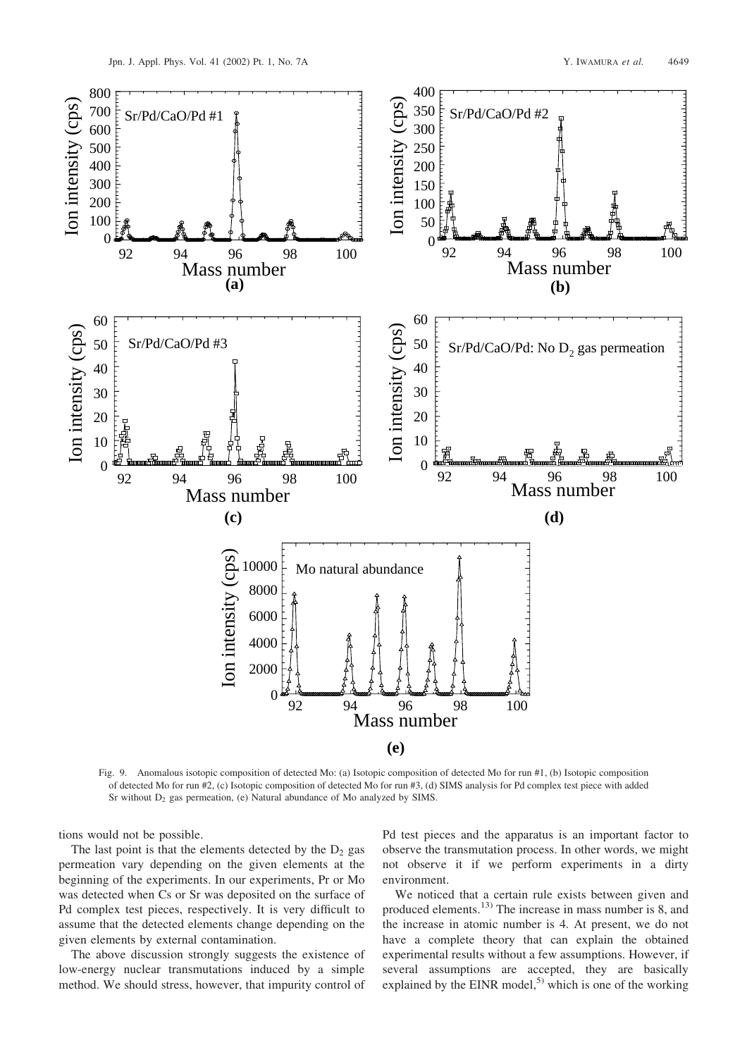

Fig. 9. Anomalous isotopic composition of detected Mo: (a) Isotopic composition of detected Mo for run #1, (b) Isotopic composition of detected Mo for run #2, (c) Isotopic composition of detected Mo for run #3, (d) SIMS analysis for Pd complex test piece with added Sr without  $D_2$  gas permeation, (e) Natural abundance of Mo analyzed by SIMS.

tions would not be possible.

The last point is that the elements detected by the  $D_2$  gas permeation vary depending on the given elements at the beginning of the experiments. In our experiments, Pr or Mo was detected when Cs or Sr was deposited on the surface of Pd complex test pieces, respectively. It is very difficult to assume that the detected elements change depending on the given elements by external contamination.

The above discussion strongly suggests the existence of low-energy nuclear transmutations induced by a simple method. We should stress, however, that impurity control of Pd test pieces and the apparatus is an important factor to observe the transmutation process. In other words, we might not observe it if we perform experiments in a dirty environment.

We noticed that a certain rule exists between given and produced elements.<sup>13)</sup> The increase in mass number is 8, and the increase in atomic number is 4. At present, we do not have a complete theory that can explain the obtained experimental results without a few assumptions. However, if several assumptions are accepted, they are basically explained by the EINR model,<sup>5)</sup> which is one of the working